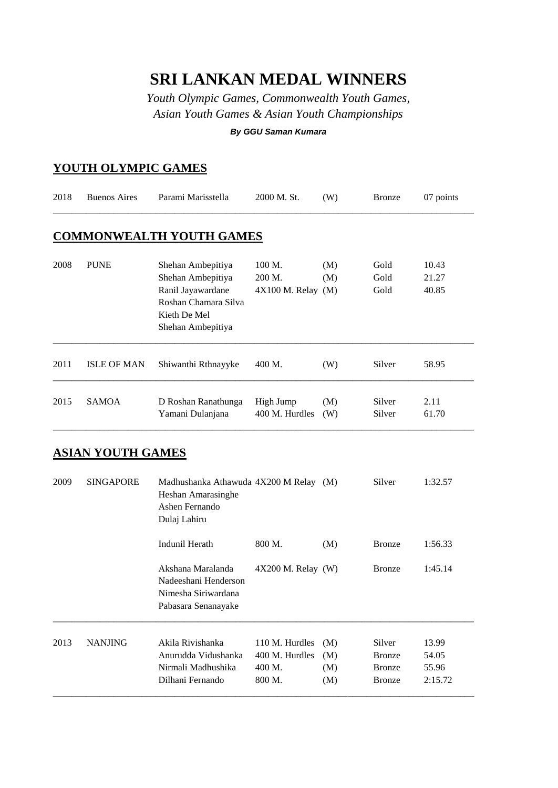## **SRI LANKAN MEDAL WINNERS**

*Youth Olympic Games, Commonwealth Youth Games, Asian Youth Games & Asian Youth Championships*

*By GGU Saman Kumara*

## **YOUTH OLYMPIC GAMES**

| 2018 | <b>Buenos Aires</b>      | Parami Marisstella                                                                                                       | 2000 M. St.                                          | (W)                      | <b>Bronze</b>                                             | 07 points                          |
|------|--------------------------|--------------------------------------------------------------------------------------------------------------------------|------------------------------------------------------|--------------------------|-----------------------------------------------------------|------------------------------------|
|      |                          | <b>COMMONWEALTH YOUTH GAMES</b>                                                                                          |                                                      |                          |                                                           |                                    |
| 2008 | <b>PUNE</b>              | Shehan Ambepitiya<br>Shehan Ambepitiya<br>Ranil Jayawardane<br>Roshan Chamara Silva<br>Kieth De Mel<br>Shehan Ambepitiya | 100 M.<br>200 M.<br>$4X100$ M. Relay $(M)$           | (M)<br>(M)               | Gold<br>Gold<br>Gold                                      | 10.43<br>21.27<br>40.85            |
| 2011 | <b>ISLE OF MAN</b>       | Shiwanthi Rthnayyke                                                                                                      | 400 M.                                               | (W)                      | Silver                                                    | 58.95                              |
| 2015 | <b>SAMOA</b>             | D Roshan Ranathunga<br>Yamani Dulanjana                                                                                  | High Jump<br>400 M. Hurdles                          | (M)<br>(W)               | Silver<br>Silver                                          | 2.11<br>61.70                      |
|      | <u>ASIAN YOUTH GAMES</u> |                                                                                                                          |                                                      |                          |                                                           |                                    |
| 2009 | <b>SINGAPORE</b>         | Madhushanka Athawuda 4X200 M Relay (M)<br>Heshan Amarasinghe<br>Ashen Fernando<br>Dulaj Lahiru                           |                                                      |                          | Silver                                                    | 1:32.57                            |
|      |                          | Indunil Herath                                                                                                           | 800 M.                                               | (M)                      | <b>Bronze</b>                                             | 1:56.33                            |
|      |                          | Akshana Maralanda<br>Nadeeshani Henderson<br>Nimesha Siriwardana<br>Pabasara Senanayake                                  | 4X200 M. Relay (W)                                   |                          | <b>Bronze</b>                                             | 1:45.14                            |
| 2013 | <b>NANJING</b>           | Akila Rivishanka<br>Anurudda Vidushanka<br>Nirmali Madhushika<br>Dilhani Fernando                                        | 110 M. Hurdles<br>400 M. Hurdles<br>400 M.<br>800 M. | (M)<br>(M)<br>(M)<br>(M) | Silver<br><b>Bronze</b><br><b>Bronze</b><br><b>Bronze</b> | 13.99<br>54.05<br>55.96<br>2:15.72 |